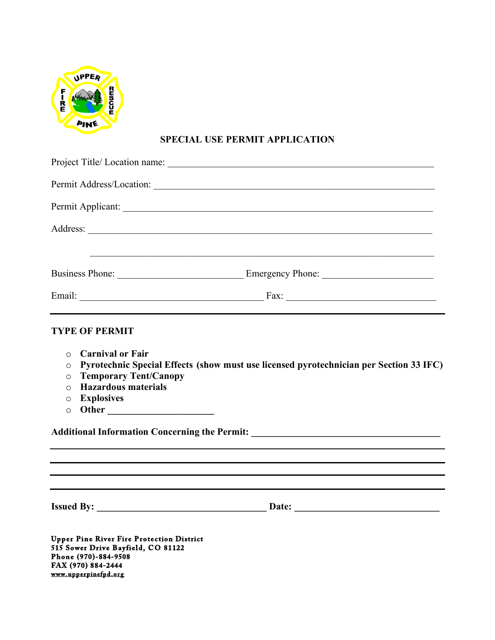

## **SPECIAL USE PERMIT APPLICATION**

|                                                                                                      |                                                                                        |  | ,我们也不能在这里的人,我们也不能在这里的人,我们也不能在这里的人,我们也不能在这里的人,我们也不能在这里的人,我们也不能在这里的人,我们也不能在这里的人,我们也 |
|------------------------------------------------------------------------------------------------------|----------------------------------------------------------------------------------------|--|-----------------------------------------------------------------------------------|
|                                                                                                      |                                                                                        |  |                                                                                   |
|                                                                                                      |                                                                                        |  |                                                                                   |
| <b>TYPE OF PERMIT</b>                                                                                | ,我们也不会有什么。""我们的人,我们也不会有什么?""我们的人,我们也不会有什么?""我们的人,我们也不会有什么?""我们的人,我们也不会有什么?""我们的人       |  |                                                                                   |
| $\circ$ Carnival or Fair                                                                             |                                                                                        |  |                                                                                   |
| $\circ$                                                                                              | Pyrotechnic Special Effects (show must use licensed pyrotechnician per Section 33 IFC) |  |                                                                                   |
| <b>Temporary Tent/Canopy</b><br>$\circ$                                                              |                                                                                        |  |                                                                                   |
| <b>Hazardous materials</b><br>$\bigcirc$                                                             |                                                                                        |  |                                                                                   |
| <b>Explosives</b><br>$\circ$<br>$\circ$                                                              |                                                                                        |  |                                                                                   |
|                                                                                                      |                                                                                        |  |                                                                                   |
| Additional Information Concerning the Permit: National Additional Information Concerning the Permit: |                                                                                        |  |                                                                                   |

**Issued By: \_\_\_\_\_\_\_\_\_\_\_\_\_\_\_\_\_\_\_\_\_\_\_\_\_\_\_\_\_\_\_\_\_\_\_ Date: \_\_\_\_\_\_\_\_\_\_\_\_\_\_\_\_\_\_\_\_\_\_\_\_\_\_\_\_\_\_** 

**Upper Pine River Fire Protection District 515 Sower Drive Bayfield, CO 81122 P hone (970)-884-9508 FAX (970) 884-2444 www.upperpinefpd.org**